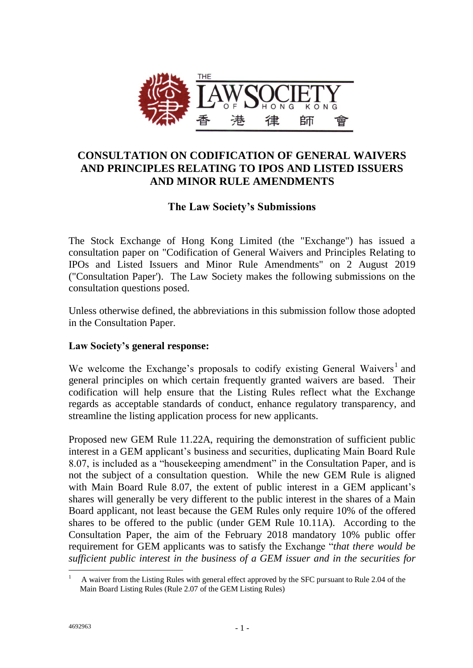

# **CONSULTATION ON CODIFICATION OF GENERAL WAIVERS AND PRINCIPLES RELATING TO IPOS AND LISTED ISSUERS AND MINOR RULE AMENDMENTS**

## **The Law Society's Submissions**

The Stock Exchange of Hong Kong Limited (the "Exchange") has issued a consultation paper on "Codification of General Waivers and Principles Relating to IPOs and Listed Issuers and Minor Rule Amendments" on 2 August 2019 ("Consultation Paper'). The Law Society makes the following submissions on the consultation questions posed.

Unless otherwise defined, the abbreviations in this submission follow those adopted in the Consultation Paper.

#### **Law Society's general response:**

We welcome the Exchange's proposals to codify existing General Waivers<sup>1</sup> and general principles on which certain frequently granted waivers are based. Their codification will help ensure that the Listing Rules reflect what the Exchange regards as acceptable standards of conduct, enhance regulatory transparency, and streamline the listing application process for new applicants.

Proposed new GEM Rule 11.22A, requiring the demonstration of sufficient public interest in a GEM applicant's business and securities, duplicating Main Board Rule 8.07, is included as a "housekeeping amendment" in the Consultation Paper, and is not the subject of a consultation question. While the new GEM Rule is aligned with Main Board Rule 8.07, the extent of public interest in a GEM applicant's shares will generally be very different to the public interest in the shares of a Main Board applicant, not least because the GEM Rules only require 10% of the offered shares to be offered to the public (under GEM Rule 10.11A). According to the Consultation Paper, the aim of the February 2018 mandatory 10% public offer requirement for GEM applicants was to satisfy the Exchange "*that there would be sufficient public interest in the business of a GEM issuer and in the securities for* 

 $\overline{a}$ 1 A waiver from the Listing Rules with general effect approved by the SFC pursuant to Rule 2.04 of the Main Board Listing Rules (Rule 2.07 of the GEM Listing Rules)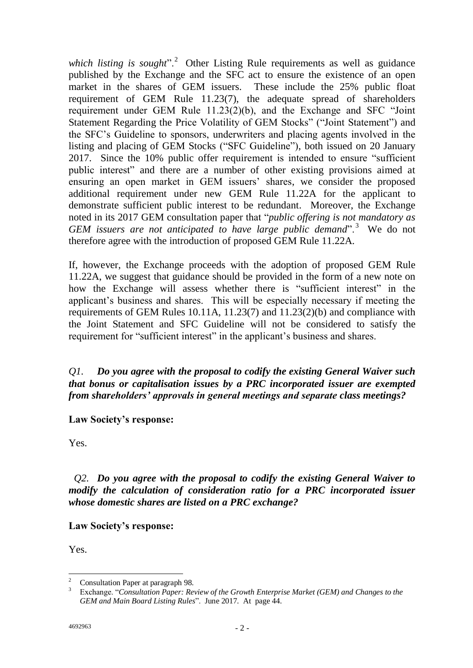which listing is sought".<sup>2</sup> Other Listing Rule requirements as well as guidance published by the Exchange and the SFC act to ensure the existence of an open market in the shares of GEM issuers. These include the 25% public float requirement of GEM Rule 11.23(7), the adequate spread of shareholders requirement under GEM Rule 11.23(2)(b), and the Exchange and SFC "Joint Statement Regarding the Price Volatility of GEM Stocks" ("Joint Statement") and the SFC's Guideline to sponsors, underwriters and placing agents involved in the listing and placing of GEM Stocks ("SFC Guideline"), both issued on 20 January 2017. Since the 10% public offer requirement is intended to ensure "sufficient public interest" and there are a number of other existing provisions aimed at ensuring an open market in GEM issuers' shares, we consider the proposed additional requirement under new GEM Rule 11.22A for the applicant to demonstrate sufficient public interest to be redundant. Moreover, the Exchange noted in its 2017 GEM consultation paper that "*public offering is not mandatory as*  GEM issuers are not anticipated to have large public demand".<sup>3</sup> We do not therefore agree with the introduction of proposed GEM Rule 11.22A.

If, however, the Exchange proceeds with the adoption of proposed GEM Rule 11.22A, we suggest that guidance should be provided in the form of a new note on how the Exchange will assess whether there is "sufficient interest" in the applicant's business and shares. This will be especially necessary if meeting the requirements of GEM Rules 10.11A, 11.23(7) and 11.23(2)(b) and compliance with the Joint Statement and SFC Guideline will not be considered to satisfy the requirement for "sufficient interest" in the applicant's business and shares.

*Q1. Do you agree with the proposal to codify the existing General Waiver such that bonus or capitalisation issues by a PRC incorporated issuer are exempted from shareholders' approvals in general meetings and separate class meetings?*

**Law Society's response:**

Yes.

 *Q2. Do you agree with the proposal to codify the existing General Waiver to modify the calculation of consideration ratio for a PRC incorporated issuer whose domestic shares are listed on a PRC exchange?*

#### **Law Society's response:**

Yes.

 $\overline{2}$ <sup>2</sup> Consultation Paper at paragraph 98.

<sup>3</sup> Exchange. "*Consultation Paper: Review of the Growth Enterprise Market (GEM) and Changes to the GEM and Main Board Listing Rules*". June 2017. At page 44.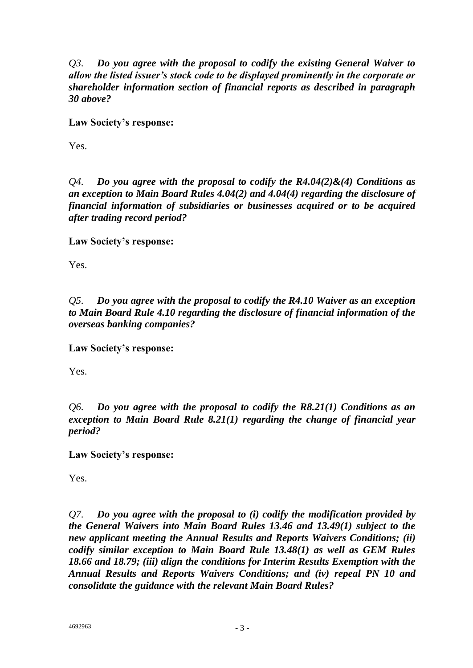*Q3. Do you agree with the proposal to codify the existing General Waiver to allow the listed issuer's stock code to be displayed prominently in the corporate or shareholder information section of financial reports as described in paragraph 30 above?*

**Law Society's response:**

Yes.

*Q4. Do you agree with the proposal to codify the R4.04(2)&(4) Conditions as an exception to Main Board Rules 4.04(2) and 4.04(4) regarding the disclosure of financial information of subsidiaries or businesses acquired or to be acquired after trading record period?*

**Law Society's response:**

Yes.

*Q5. Do you agree with the proposal to codify the R4.10 Waiver as an exception to Main Board Rule 4.10 regarding the disclosure of financial information of the overseas banking companies?*

**Law Society's response:**

Yes.

*Q6. Do you agree with the proposal to codify the R8.21(1) Conditions as an exception to Main Board Rule 8.21(1) regarding the change of financial year period?*

**Law Society's response:**

Yes.

*Q7. Do you agree with the proposal to (i) codify the modification provided by the General Waivers into Main Board Rules 13.46 and 13.49(1) subject to the new applicant meeting the Annual Results and Reports Waivers Conditions; (ii) codify similar exception to Main Board Rule 13.48(1) as well as GEM Rules 18.66 and 18.79; (iii) align the conditions for Interim Results Exemption with the Annual Results and Reports Waivers Conditions; and (iv) repeal PN 10 and consolidate the guidance with the relevant Main Board Rules?*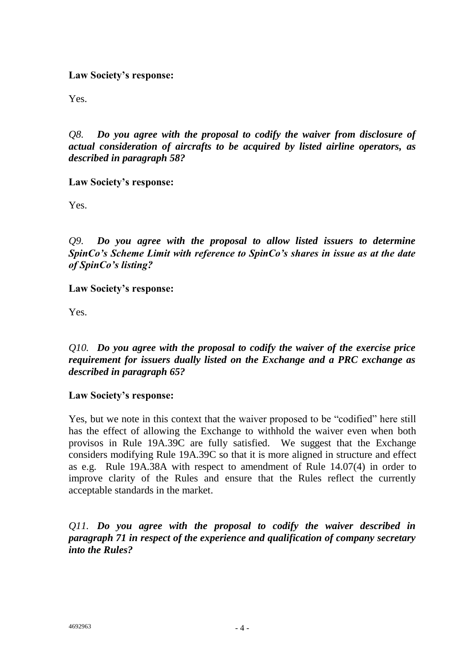#### **Law Society's response:**

Yes.

*Q8. Do you agree with the proposal to codify the waiver from disclosure of actual consideration of aircrafts to be acquired by listed airline operators, as described in paragraph 58?*

**Law Society's response:**

Yes.

*Q9. Do you agree with the proposal to allow listed issuers to determine SpinCo's Scheme Limit with reference to SpinCo's shares in issue as at the date of SpinCo's listing?*

**Law Society's response:**

Yes.

*Q10. Do you agree with the proposal to codify the waiver of the exercise price requirement for issuers dually listed on the Exchange and a PRC exchange as described in paragraph 65?*

#### **Law Society's response:**

Yes, but we note in this context that the waiver proposed to be "codified" here still has the effect of allowing the Exchange to withhold the waiver even when both provisos in Rule 19A.39C are fully satisfied. We suggest that the Exchange considers modifying Rule 19A.39C so that it is more aligned in structure and effect as e.g. Rule 19A.38A with respect to amendment of Rule 14.07(4) in order to improve clarity of the Rules and ensure that the Rules reflect the currently acceptable standards in the market.

*Q11. Do you agree with the proposal to codify the waiver described in paragraph 71 in respect of the experience and qualification of company secretary into the Rules?*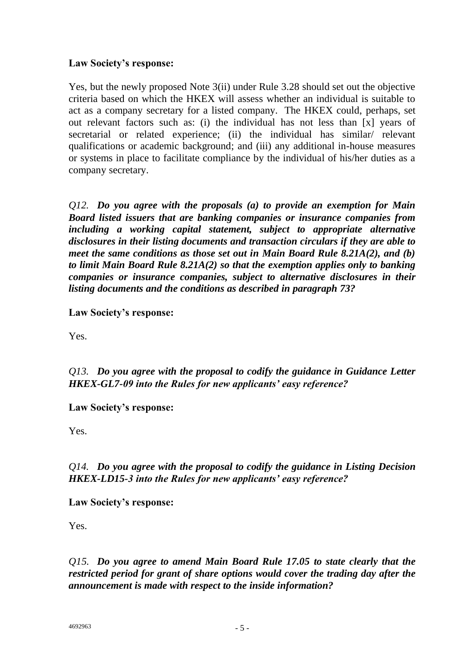#### **Law Society's response:**

Yes, but the newly proposed Note 3(ii) under Rule 3.28 should set out the objective criteria based on which the HKEX will assess whether an individual is suitable to act as a company secretary for a listed company. The HKEX could, perhaps, set out relevant factors such as: (i) the individual has not less than [x] years of secretarial or related experience; (ii) the individual has similar/ relevant qualifications or academic background; and (iii) any additional in-house measures or systems in place to facilitate compliance by the individual of his/her duties as a company secretary.

*Q12. Do you agree with the proposals (a) to provide an exemption for Main Board listed issuers that are banking companies or insurance companies from including a working capital statement, subject to appropriate alternative disclosures in their listing documents and transaction circulars if they are able to meet the same conditions as those set out in Main Board Rule 8.21A(2), and (b) to limit Main Board Rule 8.21A(2) so that the exemption applies only to banking companies or insurance companies, subject to alternative disclosures in their listing documents and the conditions as described in paragraph 73?*

**Law Society's response:**

Yes.

*Q13. Do you agree with the proposal to codify the guidance in Guidance Letter HKEX-GL7-09 into the Rules for new applicants' easy reference?*

**Law Society's response:**

Yes.

*Q14. Do you agree with the proposal to codify the guidance in Listing Decision HKEX-LD15-3 into the Rules for new applicants' easy reference?*

#### **Law Society's response:**

Yes.

*Q15. Do you agree to amend Main Board Rule 17.05 to state clearly that the restricted period for grant of share options would cover the trading day after the announcement is made with respect to the inside information?*